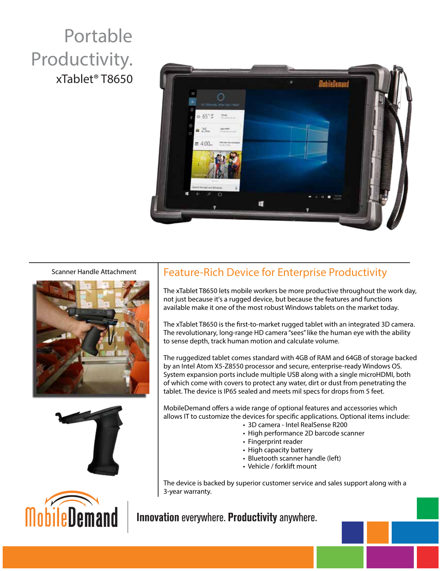## Portable Productivity. xTablet® T8650



#### Scanner Handle Attachment





## Feature-Rich Device for Enterprise Productivity

The xTablet T8650 lets mobile workers be more productive throughout the work day, not just because it's a rugged device, but because the features and functions available make it one of the most robust Windows tablets on the market today.

The xTablet T8650 is the first-to-market rugged tablet with an integrated 3D camera. The revolutionary, long-range HD camera "sees" like the human eye with the ability to sense depth, track human motion and calculate volume.

The ruggedized tablet comes standard with 4GB of RAM and 64GB of storage backed by an Intel Atom X5-Z8550 processor and secure, enterprise-ready Windows OS. System expansion ports include multiple USB along with a single microHDMI, both of which come with covers to protect any water, dirt or dust from penetrating the tablet. The device is IP65 sealed and meets mil specs for drops from 5 feet.

MobileDemand offers a wide range of optional features and accessories which allows IT to customize the devices for specific applications. Optional items include:

- 3D camera Intel RealSense R200
- High performance 2D barcode scanner
- Fingerprint reader
- High capacity battery
- Bluetooth scanner handle (left)
- Vehicle / forklift mount

The device is backed by superior customer service and sales support along with a 3-year warranty.

Innovation everywhere. Productivity anywhere.